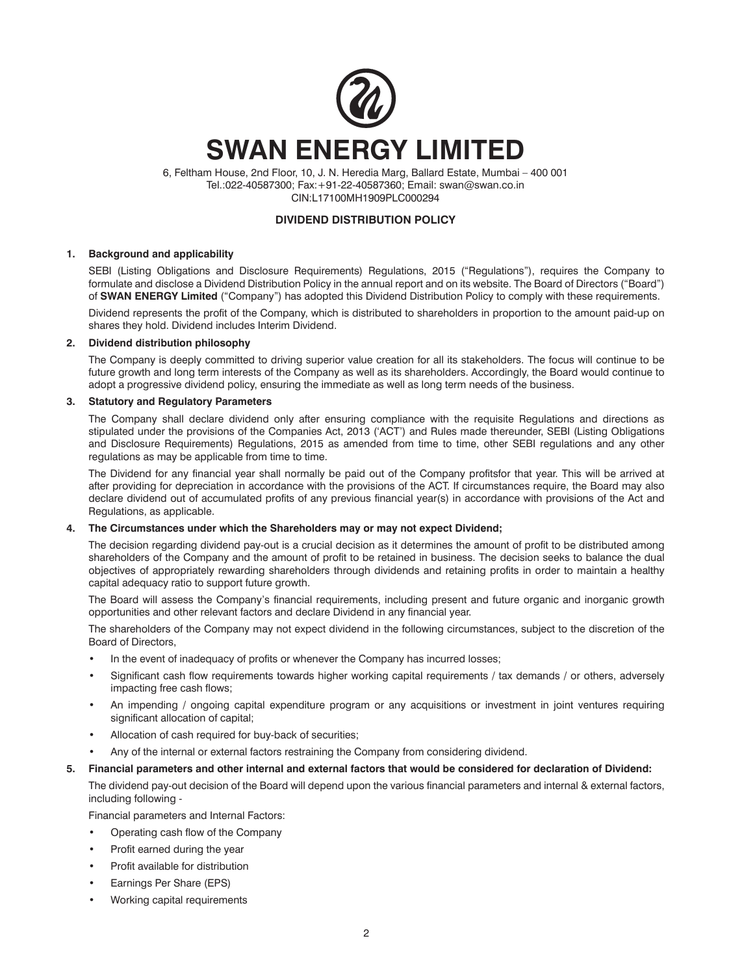

6, Feltham House, 2nd Floor, 10, J. N. Heredia Marg, Ballard Estate, Mumbai – 400 001 Tel.:022-40587300; Fax:+91-22-40587360; Email: swan@swan.co.in CIN:L17100MH1909PLC000294

# **DIVIDEND DISTRIBUTION POLICY**

#### **1. Background and applicability**

SEBI (Listing Obligations and Disclosure Requirements) Regulations, 2015 ("Regulations"), requires the Company to formulate and disclose a Dividend Distribution Policy in the annual report and on its website. The Board of Directors ("Board") of **SWAN ENERGY Limited** ("Company") has adopted this Dividend Distribution Policy to comply with these requirements.

Dividend represents the profit of the Company, which is distributed to shareholders in proportion to the amount paid-up on shares they hold. Dividend includes Interim Dividend.

# **2. Dividend distribution philosophy**

The Company is deeply committed to driving superior value creation for all its stakeholders. The focus will continue to be future growth and long term interests of the Company as well as its shareholders. Accordingly, the Board would continue to adopt a progressive dividend policy, ensuring the immediate as well as long term needs of the business.

# **3. Statutory and Regulatory Parameters**

The Company shall declare dividend only after ensuring compliance with the requisite Regulations and directions as stipulated under the provisions of the Companies Act, 2013 ('ACT') and Rules made thereunder, SEBI (Listing Obligations and Disclosure Requirements) Regulations, 2015 as amended from time to time, other SEBI regulations and any other regulations as may be applicable from time to time.

The Dividend for any financial year shall normally be paid out of the Company profitsfor that year. This will be arrived at after providing for depreciation in accordance with the provisions of the ACT. If circumstances require, the Board may also declare dividend out of accumulated profits of any previous financial year(s) in accordance with provisions of the Act and Regulations, as applicable.

#### **4. The Circumstances under which the Shareholders may or may not expect Dividend;**

The decision regarding dividend pay-out is a crucial decision as it determines the amount of profit to be distributed among shareholders of the Company and the amount of profit to be retained in business. The decision seeks to balance the dual objectives of appropriately rewarding shareholders through dividends and retaining profits in order to maintain a healthy capital adequacy ratio to support future growth.

The Board will assess the Company's financial requirements, including present and future organic and inorganic growth opportunities and other relevant factors and declare Dividend in any financial year.

The shareholders of the Company may not expect dividend in the following circumstances, subject to the discretion of the Board of Directors,

- In the event of inadequacy of profits or whenever the Company has incurred losses;
- Significant cash flow requirements towards higher working capital requirements / tax demands / or others, adversely impacting free cash flows;
- An impending / ongoing capital expenditure program or any acquisitions or investment in joint ventures requiring significant allocation of capital;
- Allocation of cash required for buy-back of securities;
- Any of the internal or external factors restraining the Company from considering dividend.

# **5. Financial parameters and other internal and external factors that would be considered for declaration of Dividend:**

The dividend pay-out decision of the Board will depend upon the various financial parameters and internal & external factors, including following -

Financial parameters and Internal Factors:

- Operating cash flow of the Company
- Profit earned during the year
- Profit available for distribution
- Earnings Per Share (EPS)
- Working capital requirements